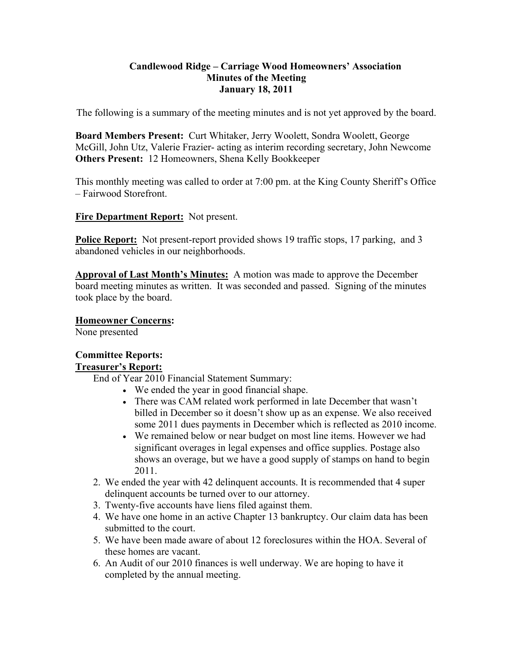### **Candlewood Ridge – Carriage Wood Homeowners' Association Minutes of the Meeting January 18, 2011**

The following is a summary of the meeting minutes and is not yet approved by the board.

**Board Members Present:** Curt Whitaker, Jerry Woolett, Sondra Woolett, George McGill, John Utz, Valerie Frazier- acting as interim recording secretary, John Newcome **Others Present:** 12 Homeowners, Shena Kelly Bookkeeper

This monthly meeting was called to order at 7:00 pm. at the King County Sheriff's Office – Fairwood Storefront.

**Fire Department Report:** Not present.

**Police Report:** Not present-report provided shows 19 traffic stops, 17 parking, and 3 abandoned vehicles in our neighborhoods.

**Approval of Last Month's Minutes:** A motion was made to approve the December board meeting minutes as written. It was seconded and passed. Signing of the minutes took place by the board.

**Homeowner Concerns:**  None presented

### **Committee Reports: Treasurer's Report:**

End of Year 2010 Financial Statement Summary:

- We ended the year in good financial shape.
- There was CAM related work performed in late December that wasn't billed in December so it doesn't show up as an expense. We also received some 2011 dues payments in December which is reflected as 2010 income.
- We remained below or near budget on most line items. However we had significant overages in legal expenses and office supplies. Postage also shows an overage, but we have a good supply of stamps on hand to begin 2011.
- 2. We ended the year with 42 delinquent accounts. It is recommended that 4 super delinquent accounts be turned over to our attorney.
- 3. Twenty-five accounts have liens filed against them.
- 4. We have one home in an active Chapter 13 bankruptcy. Our claim data has been submitted to the court.
- 5. We have been made aware of about 12 foreclosures within the HOA. Several of these homes are vacant.
- 6. An Audit of our 2010 finances is well underway. We are hoping to have it completed by the annual meeting.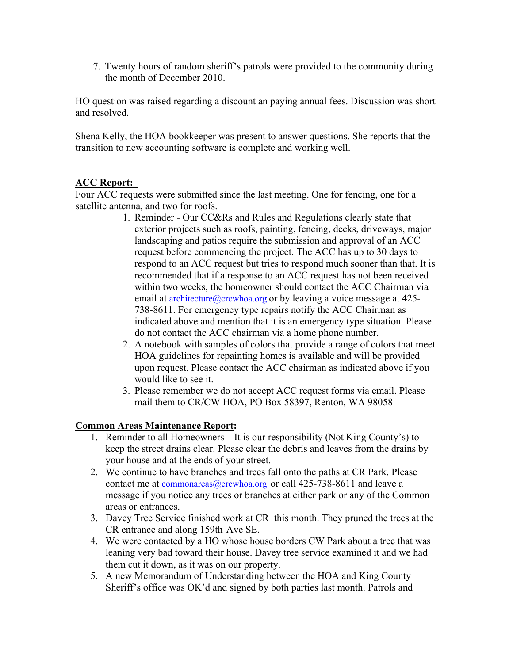7. Twenty hours of random sheriff's patrols were provided to the community during the month of December 2010.

HO question was raised regarding a discount an paying annual fees. Discussion was short and resolved.

Shena Kelly, the HOA bookkeeper was present to answer questions. She reports that the transition to new accounting software is complete and working well.

### **ACC Report:**

Four ACC requests were submitted since the last meeting. One for fencing, one for a satellite antenna, and two for roofs.

- 1. Reminder Our CC&Rs and Rules and Regulations clearly state that exterior projects such as roofs, painting, fencing, decks, driveways, major landscaping and patios require the submission and approval of an ACC request before commencing the project. The ACC has up to 30 days to respond to an ACC request but tries to respond much sooner than that. It is recommended that if a response to an ACC request has not been received within two weeks, the homeowner should contact the ACC Chairman via email at architecture@crcwhoa.org or by leaving a voice message at 425-738-8611. For emergency type repairs notify the ACC Chairman as indicated above and mention that it is an emergency type situation. Please do not contact the ACC chairman via a home phone number.
- 2. A notebook with samples of colors that provide a range of colors that meet HOA guidelines for repainting homes is available and will be provided upon request. Please contact the ACC chairman as indicated above if you would like to see it.
- 3. Please remember we do not accept ACC request forms via email. Please mail them to CR/CW HOA, PO Box 58397, Renton, WA 98058

## **Common Areas Maintenance Report:**

- 1. Reminder to all Homeowners It is our responsibility (Not King County's) to keep the street drains clear. Please clear the debris and leaves from the drains by your house and at the ends of your street.
- 2. We continue to have branches and trees fall onto the paths at CR Park. Please contact me at commonareas@crcwhoa.org or call 425-738-8611 and leave a message if you notice any trees or branches at either park or any of the Common areas or entrances.
- 3. Davey Tree Service finished work at CR this month. They pruned the trees at the CR entrance and along 159th Ave SE.
- 4. We were contacted by a HO whose house borders CW Park about a tree that was leaning very bad toward their house. Davey tree service examined it and we had them cut it down, as it was on our property.
- 5. A new Memorandum of Understanding between the HOA and King County Sheriff's office was OK'd and signed by both parties last month. Patrols and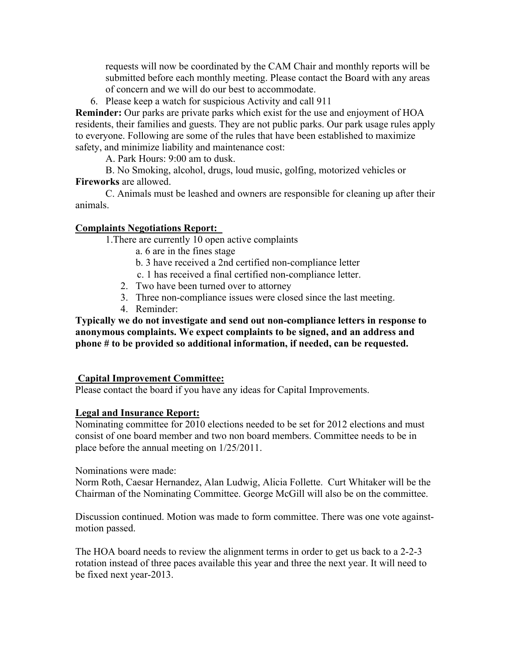requests will now be coordinated by the CAM Chair and monthly reports will be submitted before each monthly meeting. Please contact the Board with any areas of concern and we will do our best to accommodate.

6. Please keep a watch for suspicious Activity and call 911

**Reminder:** Our parks are private parks which exist for the use and enjoyment of HOA residents, their families and guests. They are not public parks. Our park usage rules apply to everyone. Following are some of the rules that have been established to maximize safety, and minimize liability and maintenance cost:

A. Park Hours: 9:00 am to dusk.

B. No Smoking, alcohol, drugs, loud music, golfing, motorized vehicles or **Fireworks** are allowed.

C. Animals must be leashed and owners are responsible for cleaning up after their animals.

### **Complaints Negotiations Report:**

1.There are currently 10 open active complaints

- a. 6 are in the fines stage
- b. 3 have received a 2nd certified non-compliance letter
- c. 1 has received a final certified non-compliance letter.
- 2. Two have been turned over to attorney
- 3. Three non-compliance issues were closed since the last meeting.
- 4. Reminder:

**Typically we do not investigate and send out non-compliance letters in response to anonymous complaints. We expect complaints to be signed, and an address and phone # to be provided so additional information, if needed, can be requested.** 

#### **Capital Improvement Committee:**

Please contact the board if you have any ideas for Capital Improvements.

#### **Legal and Insurance Report:**

Nominating committee for 2010 elections needed to be set for 2012 elections and must consist of one board member and two non board members. Committee needs to be in place before the annual meeting on 1/25/2011.

Nominations were made:

Norm Roth, Caesar Hernandez, Alan Ludwig, Alicia Follette. Curt Whitaker will be the Chairman of the Nominating Committee. George McGill will also be on the committee.

Discussion continued. Motion was made to form committee. There was one vote againstmotion passed.

The HOA board needs to review the alignment terms in order to get us back to a 2-2-3 rotation instead of three paces available this year and three the next year. It will need to be fixed next year-2013.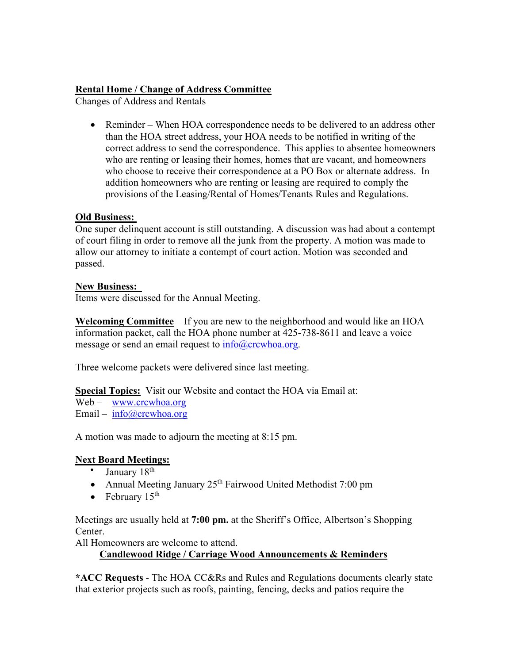# **Rental Home / Change of Address Committee**

Changes of Address and Rentals

• Reminder – When HOA correspondence needs to be delivered to an address other than the HOA street address, your HOA needs to be notified in writing of the correct address to send the correspondence. This applies to absentee homeowners who are renting or leasing their homes, homes that are vacant, and homeowners who choose to receive their correspondence at a PO Box or alternate address. In addition homeowners who are renting or leasing are required to comply the provisions of the Leasing/Rental of Homes/Tenants Rules and Regulations.

## **Old Business:**

One super delinquent account is still outstanding. A discussion was had about a contempt of court filing in order to remove all the junk from the property. A motion was made to allow our attorney to initiate a contempt of court action. Motion was seconded and passed.

## **New Business:**

Items were discussed for the Annual Meeting.

**Welcoming Committee** – If you are new to the neighborhood and would like an HOA information packet, call the HOA phone number at 425-738-8611 and leave a voice message or send an email request to info@crcwhoa.org.

Three welcome packets were delivered since last meeting.

**Special Topics:** Visit our Website and contact the HOA via Email at:

Web – www.crcwhoa.org Email –  $info@crcwhoa.org$ 

A motion was made to adjourn the meeting at 8:15 pm.

## **Next Board Meetings:**

- January  $18<sup>th</sup>$
- Annual Meeting January  $25<sup>th</sup>$  Fairwood United Methodist 7:00 pm
- February  $15<sup>th</sup>$

Meetings are usually held at **7:00 pm.** at the Sheriff's Office, Albertson's Shopping Center.

All Homeowners are welcome to attend.

## **Candlewood Ridge / Carriage Wood Announcements & Reminders**

**\*ACC Requests** - The HOA CC&Rs and Rules and Regulations documents clearly state that exterior projects such as roofs, painting, fencing, decks and patios require the